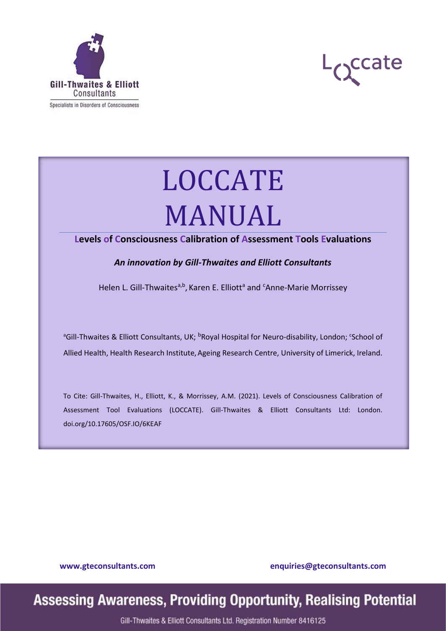



# LOCCATE MANUAL

#### **Levels of Consciousness Calibration of Assessment Tools Evaluations**

*An innovation by Gill-Thwaites and Elliott Consultants*

Helen L. Gill-Thwaites<sup>a,b</sup>, Karen E. Elliott<sup>a</sup> and <sup>c</sup>Anne-Marie Morrissey

<sup>a</sup>Gill-Thwaites & Elliott Consultants, UK; <sup>b</sup>Royal Hospital for Neuro-disability, London; 'School of Allied Health, Health Research Institute, Ageing Research Centre, University of Limerick, Ireland.

To Cite: Gill-Thwaites, H., Elliott, K., & Morrissey, A.M. (2021). Levels of Consciousness Calibration of Assessment Tool Evaluations (LOCCATE). Gill-Thwaites & Elliott Consultants Ltd: London. doi.org/10.17605/OSF.IO/6KEAF

**[www.gteconsultants.com](file:///D:/Martin/Proofreading/GTE%20consultants/Format%20for%20PDF/www.gteconsultants.com) [enquiries@gteconsultants.com](mailto:enquiries@gteconsultants.com)**

## **Assessing Awareness, Providing Opportunity, Realising Potential**

Gill-Thwaites & Elliott Consultants Ltd. Registration Number 8416125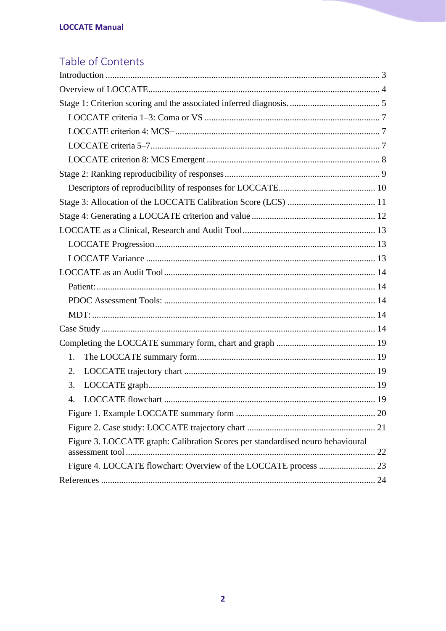### Table of Contents

| 1.                                                                             |
|--------------------------------------------------------------------------------|
| 2.                                                                             |
| 3.                                                                             |
| 4.                                                                             |
|                                                                                |
|                                                                                |
| Figure 3. LOCCATE graph: Calibration Scores per standardised neuro behavioural |
|                                                                                |
|                                                                                |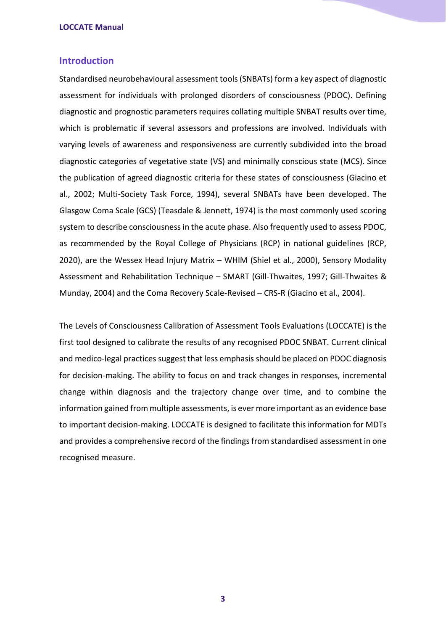#### <span id="page-2-0"></span>**Introduction**

Standardised neurobehavioural assessment tools (SNBATs) form a key aspect of diagnostic assessment for individuals with prolonged disorders of consciousness (PDOC). Defining diagnostic and prognostic parameters requires collating multiple SNBAT results over time, which is problematic if several assessors and professions are involved. Individuals with varying levels of awareness and responsiveness are currently subdivided into the broad diagnostic categories of vegetative state (VS) and minimally conscious state (MCS). Since the publication of agreed diagnostic criteria for these states of consciousness (Giacino et al., 2002; Multi-Society Task Force, 1994), several SNBATs have been developed. The Glasgow Coma Scale (GCS) (Teasdale & Jennett, 1974) is the most commonly used scoring system to describe consciousness in the acute phase. Also frequently used to assess PDOC, as recommended by the Royal College of Physicians (RCP) in national guidelines (RCP, 2020), are the Wessex Head Injury Matrix – WHIM (Shiel et al., 2000), Sensory Modality Assessment and Rehabilitation Technique – SMART (Gill-Thwaites, 1997; Gill-Thwaites & Munday, 2004) and the Coma Recovery Scale-Revised – CRS-R (Giacino et al., 2004).

The Levels of Consciousness Calibration of Assessment Tools Evaluations (LOCCATE) is the first tool designed to calibrate the results of any recognised PDOC SNBAT. Current clinical and medico-legal practices suggest that less emphasis should be placed on PDOC diagnosis for decision-making. The ability to focus on and track changes in responses, incremental change within diagnosis and the trajectory change over time, and to combine the information gained from multiple assessments, is ever more important as an evidence base to important decision-making. LOCCATE is designed to facilitate this information for MDTs and provides a comprehensive record of the findings from standardised assessment in one recognised measure.

**3**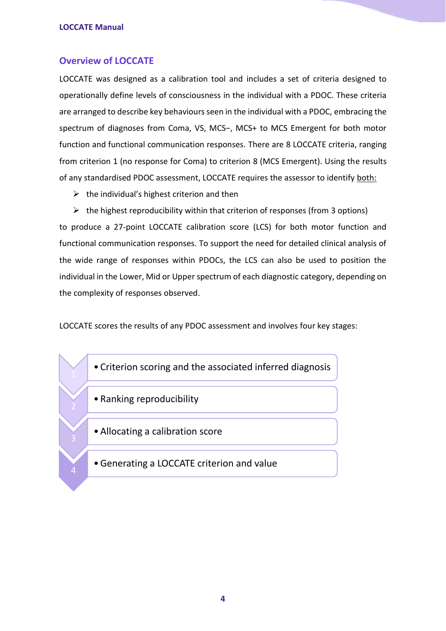#### <span id="page-3-0"></span>**Overview of LOCCATE**

LOCCATE was designed as a calibration tool and includes a set of criteria designed to operationally define levels of consciousness in the individual with a PDOC. These criteria are arranged to describe key behaviours seen in the individual with a PDOC, embracing the spectrum of diagnoses from Coma, VS, MCS−, MCS+ to MCS Emergent for both motor function and functional communication responses. There are 8 LOCCATE criteria, ranging from criterion 1 (no response for Coma) to criterion 8 (MCS Emergent). Using the results of any standardised PDOC assessment, LOCCATE requires the assessor to identify both:

 $\triangleright$  the individual's highest criterion and then

 $\triangleright$  the highest reproducibility within that criterion of responses (from 3 options) to produce a 27-point LOCCATE calibration score (LCS) for both motor function and functional communication responses. To support the need for detailed clinical analysis of the wide range of responses within PDOCs, the LCS can also be used to position the individual in the Lower, Mid or Upper spectrum of each diagnostic category, depending on the complexity of responses observed.

LOCCATE scores the results of any PDOC assessment and involves four key stages:

- Criterion scoring and the associated inferred diagnosis
- Ranking reproducibility
- •Allocating a calibration score
- •Generating a LOCCATE criterion and value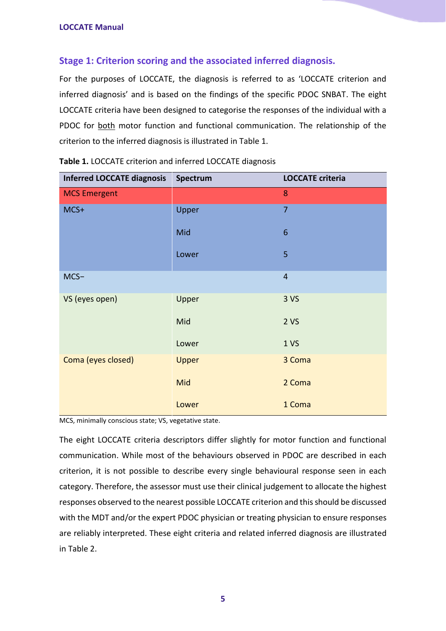#### <span id="page-4-0"></span>**Stage 1: Criterion scoring and the associated inferred diagnosis.**

For the purposes of LOCCATE, the diagnosis is referred to as 'LOCCATE criterion and inferred diagnosis' and is based on the findings of the specific PDOC SNBAT. The eight LOCCATE criteria have been designed to categorise the responses of the individual with a PDOC for both motor function and functional communication. The relationship of the criterion to the inferred diagnosis is illustrated in Table 1.

| <b>Inferred LOCCATE diagnosis</b> | Spectrum     | <b>LOCCATE criteria</b> |
|-----------------------------------|--------------|-------------------------|
| <b>MCS Emergent</b>               |              | 8                       |
| MCS+                              | Upper        | $\overline{7}$          |
|                                   | Mid          | $\boldsymbol{6}$        |
|                                   | Lower        | 5                       |
| $MCS-$                            |              | $\overline{4}$          |
| VS (eyes open)                    | Upper        | 3 <sub>vs</sub>         |
|                                   | Mid          | 2VS                     |
|                                   | Lower        | 1 <sub>vs</sub>         |
| Coma (eyes closed)                | <b>Upper</b> | 3 Coma                  |
|                                   | Mid          | 2 Coma                  |
|                                   | Lower        | 1 Coma                  |

| Table 1. LOCCATE criterion and inferred LOCCATE diagnosis |  |  |
|-----------------------------------------------------------|--|--|
|-----------------------------------------------------------|--|--|

MCS, minimally conscious state; VS, vegetative state.

The eight LOCCATE criteria descriptors differ slightly for motor function and functional communication. While most of the behaviours observed in PDOC are described in each criterion, it is not possible to describe every single behavioural response seen in each category. Therefore, the assessor must use their clinical judgement to allocate the highest responses observed to the nearest possible LOCCATE criterion and this should be discussed with the MDT and/or the expert PDOC physician or treating physician to ensure responses are reliably interpreted. These eight criteria and related inferred diagnosis are illustrated in Table 2.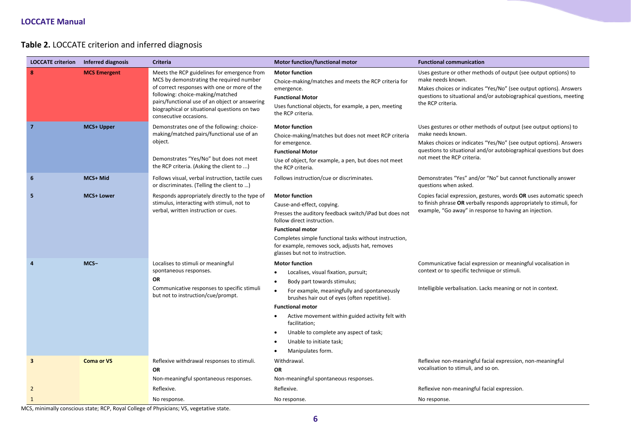#### **Table 2.** LOCCATE criterion and inferred diagnosis

| <b>LOCCATE criterion</b> | <b>Inferred diagnosis</b> | <b>Criteria</b>                                                                                                                                                                                                                                                                                         | <b>Motor function/functional motor</b>                                                                                                                                                                                                                                                                                                                                                                           | <b>Functional communication</b>                                                                                                                                                                                                                                 |
|--------------------------|---------------------------|---------------------------------------------------------------------------------------------------------------------------------------------------------------------------------------------------------------------------------------------------------------------------------------------------------|------------------------------------------------------------------------------------------------------------------------------------------------------------------------------------------------------------------------------------------------------------------------------------------------------------------------------------------------------------------------------------------------------------------|-----------------------------------------------------------------------------------------------------------------------------------------------------------------------------------------------------------------------------------------------------------------|
| 8                        | <b>MCS Emergent</b>       | Meets the RCP guidelines for emergence from<br>MCS by demonstrating the required number<br>of correct responses with one or more of the<br>following: choice-making/matched<br>pairs/functional use of an object or answering<br>biographical or situational questions on two<br>consecutive occasions. | <b>Motor function</b><br>Choice-making/matches and meets the RCP criteria for<br>emergence.<br><b>Functional Motor</b><br>Uses functional objects, for example, a pen, meeting<br>the RCP criteria.                                                                                                                                                                                                              | Uses gesture or other methods of output (see output options) to<br>make needs known.<br>Makes choices or indicates "Yes/No" (see output options). Answers<br>questions to situational and/or autobiographical questions, meeting<br>the RCP criteria.           |
| $\overline{7}$           | MCS+ Upper                | Demonstrates one of the following: choice-<br>making/matched pairs/functional use of an<br>object.<br>Demonstrates "Yes/No" but does not meet<br>the RCP criteria. (Asking the client to )                                                                                                              | <b>Motor function</b><br>Choice-making/matches but does not meet RCP criteria<br>for emergence.<br><b>Functional Motor</b><br>Use of object, for example, a pen, but does not meet<br>the RCP criteria.                                                                                                                                                                                                          | Uses gestures or other methods of output (see output options) to<br>make needs known.<br>Makes choices or indicates "Yes/No" (see output options). Answers<br>questions to situational and/or autobiographical questions but does<br>not meet the RCP criteria. |
| 6                        | MCS+ Mid                  | Follows visual, verbal instruction, tactile cues<br>or discriminates. (Telling the client to )                                                                                                                                                                                                          | Follows instruction/cue or discriminates.                                                                                                                                                                                                                                                                                                                                                                        | Demonstrates "Yes" and/or "No" but cannot functionally answer<br>questions when asked.                                                                                                                                                                          |
| 5                        | <b>MCS+ Lower</b>         | Responds appropriately directly to the type of<br>stimulus, interacting with stimuli, not to<br>verbal, written instruction or cues.                                                                                                                                                                    | <b>Motor function</b><br>Cause-and-effect, copying.<br>Presses the auditory feedback switch/iPad but does not<br>follow direct instruction.<br><b>Functional motor</b><br>Completes simple functional tasks without instruction,<br>for example, removes sock, adjusts hat, removes<br>glasses but not to instruction.                                                                                           | Copies facial expression, gestures, words OR uses automatic speech<br>to finish phrase OR verbally responds appropriately to stimuli, for<br>example, "Go away" in response to having an injection.                                                             |
|                          | MCS-                      | Localises to stimuli or meaningful<br>spontaneous responses.<br><b>OR</b><br>Communicative responses to specific stimuli<br>but not to instruction/cue/prompt.                                                                                                                                          | <b>Motor function</b><br>Localises, visual fixation, pursuit;<br>Body part towards stimulus;<br>$\bullet$<br>For example, meaningfully and spontaneously<br>$\bullet$<br>brushes hair out of eyes (often repetitive).<br><b>Functional motor</b><br>Active movement within guided activity felt with<br>facilitation;<br>Unable to complete any aspect of task;<br>Unable to initiate task;<br>Manipulates form. | Communicative facial expression or meaningful vocalisation in<br>context or to specific technique or stimuli.<br>Intelligible verbalisation. Lacks meaning or not in context.                                                                                   |
| 3                        | <b>Coma or VS</b>         | Reflexive withdrawal responses to stimuli.<br><b>OR</b><br>Non-meaningful spontaneous responses.                                                                                                                                                                                                        | Withdrawal.<br><b>OR</b><br>Non-meaningful spontaneous responses.                                                                                                                                                                                                                                                                                                                                                | Reflexive non-meaningful facial expression, non-meaningful<br>vocalisation to stimuli, and so on.                                                                                                                                                               |
| 2                        |                           | Reflexive.                                                                                                                                                                                                                                                                                              | Reflexive.                                                                                                                                                                                                                                                                                                                                                                                                       | Reflexive non-meaningful facial expression.                                                                                                                                                                                                                     |
| $\mathbf{1}$             |                           | No response.                                                                                                                                                                                                                                                                                            | No response.                                                                                                                                                                                                                                                                                                                                                                                                     | No response.                                                                                                                                                                                                                                                    |

MCS, minimally conscious state; RCP, Royal College of Physicians; VS, vegetative state.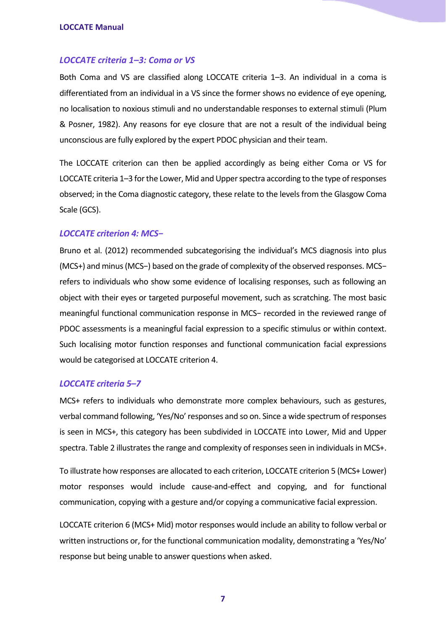#### <span id="page-6-0"></span>*LOCCATE criteria 1–3: Coma or VS*

Both Coma and VS are classified along LOCCATE criteria 1–3. An individual in a coma is differentiated from an individual in a VS since the former shows no evidence of eye opening, no localisation to noxious stimuli and no understandable responses to external stimuli (Plum & Posner, 1982). Any reasons for eye closure that are not a result of the individual being unconscious are fully explored by the expert PDOC physician and their team.

The LOCCATE criterion can then be applied accordingly as being either Coma or VS for LOCCATE criteria 1–3 for the Lower, Mid and Upper spectra according to the type of responses observed; in the Coma diagnostic category, these relate to the levels from the Glasgow Coma Scale (GCS).

#### <span id="page-6-1"></span>*LOCCATE criterion 4: MCS−*

Bruno et al. (2012) recommended subcategorising the individual's MCS diagnosis into plus (MCS+) and minus (MCS−) based on the grade of complexity of the observed responses. MCS− refers to individuals who show some evidence of localising responses, such as following an object with their eyes or targeted purposeful movement, such as scratching. The most basic meaningful functional communication response in MCS− recorded in the reviewed range of PDOC assessments is a meaningful facial expression to a specific stimulus or within context. Such localising motor function responses and functional communication facial expressions would be categorised at LOCCATE criterion 4.

#### <span id="page-6-2"></span>*LOCCATE criteria 5–7*

MCS+ refers to individuals who demonstrate more complex behaviours, such as gestures, verbal command following, 'Yes/No' responses and so on. Since a wide spectrum of responses is seen in MCS+, this category has been subdivided in LOCCATE into Lower, Mid and Upper spectra. Table 2 illustrates the range and complexity of responses seen in individuals in MCS+.

To illustrate how responses are allocated to each criterion, LOCCATE criterion 5 (MCS+ Lower) motor responses would include cause-and-effect and copying, and for functional communication, copying with a gesture and/or copying a communicative facial expression.

LOCCATE criterion 6 (MCS+ Mid) motor responses would include an ability to follow verbal or written instructions or, for the functional communication modality, demonstrating a 'Yes/No' response but being unable to answer questions when asked.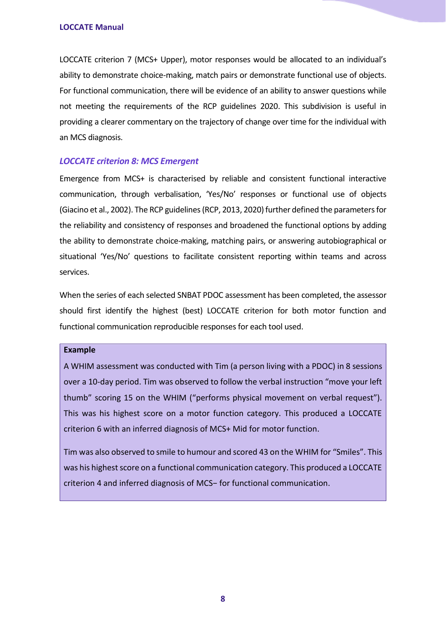LOCCATE criterion 7 (MCS+ Upper), motor responses would be allocated to an individual's ability to demonstrate choice-making, match pairs or demonstrate functional use of objects. For functional communication, there will be evidence of an ability to answer questions while not meeting the requirements of the RCP guidelines 2020. This subdivision is useful in providing a clearer commentary on the trajectory of change over time for the individual with an MCS diagnosis.

#### <span id="page-7-0"></span>*LOCCATE criterion 8: MCS Emergent*

Emergence from MCS+ is characterised by reliable and consistent functional interactive communication, through verbalisation, 'Yes/No' responses or functional use of objects (Giacino et al., 2002). The RCP guidelines (RCP, 2013, 2020) further defined the parameters for the reliability and consistency of responses and broadened the functional options by adding the ability to demonstrate choice-making, matching pairs, or answering autobiographical or situational 'Yes/No' questions to facilitate consistent reporting within teams and across services.

When the series of each selected SNBAT PDOC assessment has been completed, the assessor should first identify the highest (best) LOCCATE criterion for both motor function and functional communication reproducible responses for each tool used.

#### **Example**

A WHIM assessment was conducted with Tim (a person living with a PDOC) in 8 sessions over a 10-day period. Tim was observed to follow the verbal instruction "move your left thumb" scoring 15 on the WHIM ("performs physical movement on verbal request"). This was his highest score on a motor function category. This produced a LOCCATE criterion 6 with an inferred diagnosis of MCS+ Mid for motor function.

Tim was also observed to smile to humour and scored 43 on the WHIM for "Smiles". This was his highest score on a functional communication category. This produced a LOCCATE criterion 4 and inferred diagnosis of MCS− for functional communication.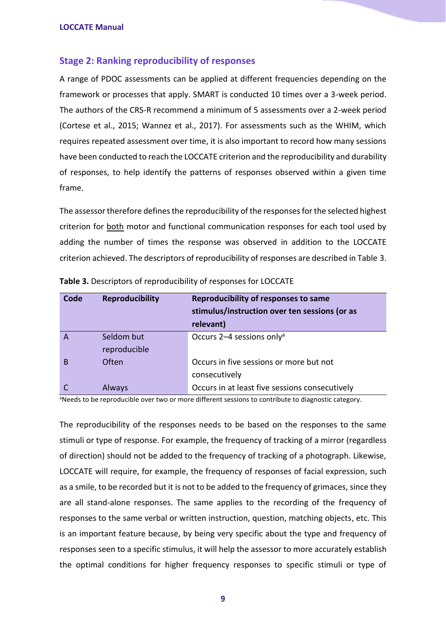#### <span id="page-8-0"></span>**Stage 2: Ranking reproducibility of responses**

A range of PDOC assessments can be applied at different frequencies depending on the framework or processes that apply. SMART is conducted 10 times over a 3-week period. The authors of the CRS-R recommend a minimum of 5 assessments over a 2-week period (Cortese et al., 2015; Wannez et al., 2017). For assessments such as the WHIM, which requires repeated assessment over time, it is also important to record how many sessions have been conducted to reach the LOCCATE criterion and the reproducibility and durability of responses, to help identify the patterns of responses observed within a given time frame.

The assessor therefore defines the reproducibility of the responses for the selected highest criterion for both motor and functional communication responses for each tool used by adding the number of times the response was observed in addition to the LOCCATE criterion achieved. The descriptors of reproducibility of responses are described in Table 3.

| Code | <b>Reproducibility</b>     | Reproducibility of responses to same<br>stimulus/instruction over ten sessions (or as<br>relevant) |
|------|----------------------------|----------------------------------------------------------------------------------------------------|
|      | Seldom but<br>reproducible | Occurs 2-4 sessions only <sup>a</sup>                                                              |
| В    | Often                      | Occurs in five sessions or more but not<br>consecutively                                           |
|      | Always                     | Occurs in at least five sessions consecutively                                                     |

**Table 3.** Descriptors of reproducibility of responses for LOCCATE

<sup>a</sup>Needs to be reproducible over two or more different sessions to contribute to diagnostic category.

The reproducibility of the responses needs to be based on the responses to the same stimuli or type of response. For example, the frequency of tracking of a mirror (regardless of direction) should not be added to the frequency of tracking of a photograph. Likewise, LOCCATE will require, for example, the frequency of responses of facial expression, such as a smile, to be recorded but it is not to be added to the frequency of grimaces, since they are all stand-alone responses. The same applies to the recording of the frequency of responses to the same verbal or written instruction, question, matching objects, etc. This is an important feature because, by being very specific about the type and frequency of responses seen to a specific stimulus, it will help the assessor to more accurately establish the optimal conditions for higher frequency responses to specific stimuli or type of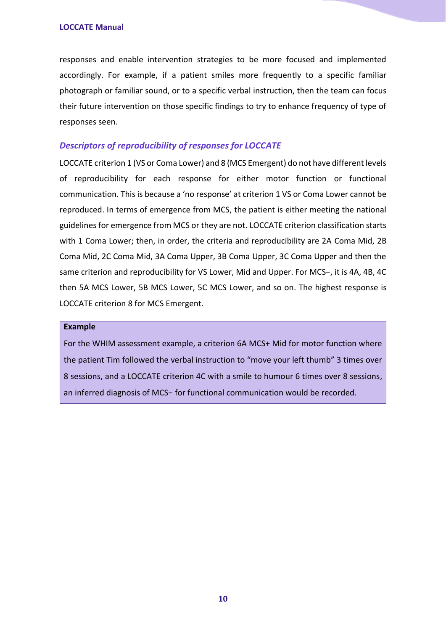responses and enable intervention strategies to be more focused and implemented accordingly. For example, if a patient smiles more frequently to a specific familiar photograph or familiar sound, or to a specific verbal instruction, then the team can focus their future intervention on those specific findings to try to enhance frequency of type of responses seen.

#### <span id="page-9-0"></span>*Descriptors of reproducibility of responses for LOCCATE*

LOCCATE criterion 1 (VS or Coma Lower) and 8 (MCS Emergent) do not have different levels of reproducibility for each response for either motor function or functional communication. This is because a 'no response' at criterion 1 VS or Coma Lower cannot be reproduced. In terms of emergence from MCS, the patient is either meeting the national guidelines for emergence from MCS or they are not. LOCCATE criterion classification starts with 1 Coma Lower; then, in order, the criteria and reproducibility are 2A Coma Mid, 2B Coma Mid, 2C Coma Mid, 3A Coma Upper, 3B Coma Upper, 3C Coma Upper and then the same criterion and reproducibility for VS Lower, Mid and Upper. For MCS−, it is 4A, 4B, 4C then 5A MCS Lower, 5B MCS Lower, 5C MCS Lower, and so on. The highest response is LOCCATE criterion 8 for MCS Emergent.

#### **Example**

For the WHIM assessment example, a criterion 6A MCS+ Mid for motor function where the patient Tim followed the verbal instruction to "move your left thumb" 3 times over 8 sessions, and a LOCCATE criterion 4C with a smile to humour 6 times over 8 sessions, an inferred diagnosis of MCS− for functional communication would be recorded.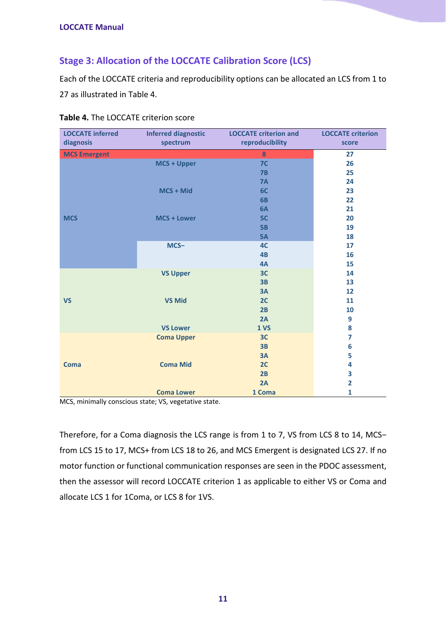#### <span id="page-10-0"></span>**Stage 3: Allocation of the LOCCATE Calibration Score (LCS)**

Each of the LOCCATE criteria and reproducibility options can be allocated an LCS from 1 to 27 as illustrated in Table 4.

| <b>LOCCATE</b> inferred | <b>Inferred diagnostic</b> | <b>LOCCATE criterion and</b> | <b>LOCCATE</b> criterion |
|-------------------------|----------------------------|------------------------------|--------------------------|
| diagnosis               | spectrum                   | reproducibility              | score                    |
| <b>MCS Emergent</b>     |                            | 8                            | 27                       |
|                         | <b>MCS + Upper</b>         | 7 <sup>C</sup>               | 26                       |
|                         |                            | 7B                           | 25                       |
|                         |                            | <b>7A</b>                    | 24                       |
|                         | MCS + Mid                  | 6C                           | 23                       |
|                         |                            | 6B                           | 22                       |
|                         |                            | 6A                           | 21                       |
| <b>MCS</b>              | <b>MCS + Lower</b>         | 5C                           | 20                       |
|                         |                            | 5B                           | 19                       |
|                         |                            | 5A                           | 18                       |
|                         | MCS-                       | 4C                           | 17                       |
|                         |                            | 4B                           | 16                       |
|                         |                            | 4A                           | 15                       |
|                         | <b>VS Upper</b>            | 3C                           | 14                       |
|                         |                            | 3B                           | 13                       |
|                         |                            | 3A                           | 12                       |
| <b>VS</b>               | <b>VS Mid</b>              | 2C                           | 11                       |
|                         |                            | 2B                           | 10                       |
|                         |                            | 2A                           | 9                        |
|                         | <b>VS Lower</b>            | 1 <sub>vs</sub>              | 8                        |
|                         | <b>Coma Upper</b>          | 3C                           | $\overline{7}$           |
|                         |                            | 3B                           | 6                        |
|                         |                            | 3A                           | 5                        |
| <b>Coma</b>             | <b>Coma Mid</b>            | 2C                           | 4                        |
|                         |                            | 2B                           | 3                        |
|                         |                            | 2A                           | $\overline{\mathbf{2}}$  |
|                         | <b>Coma Lower</b>          | 1 Coma                       | $\mathbf{1}$             |

**Table 4.** The LOCCATE criterion score

MCS, minimally conscious state; VS, vegetative state.

Therefore, for a Coma diagnosis the LCS range is from 1 to 7, VS from LCS 8 to 14, MCS− from LCS 15 to 17, MCS+ from LCS 18 to 26, and MCS Emergent is designated LCS 27. If no motor function or functional communication responses are seen in the PDOC assessment, then the assessor will record LOCCATE criterion 1 as applicable to either VS or Coma and allocate LCS 1 for 1Coma, or LCS 8 for 1VS.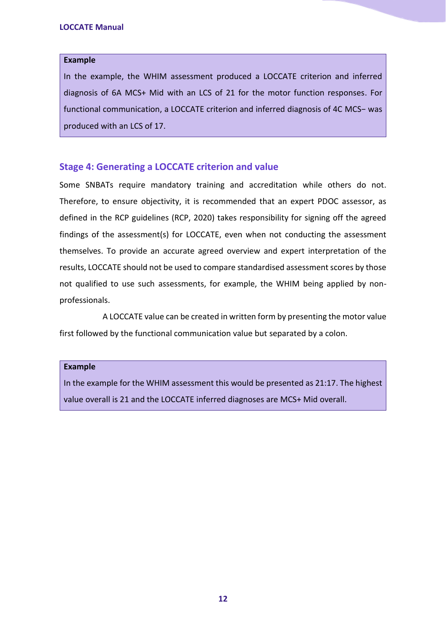#### **Example**

In the example, the WHIM assessment produced a LOCCATE criterion and inferred diagnosis of 6A MCS+ Mid with an LCS of 21 for the motor function responses. For functional communication, a LOCCATE criterion and inferred diagnosis of 4C MCS− was produced with an LCS of 17.

#### <span id="page-11-0"></span>**Stage 4: Generating a LOCCATE criterion and value**

Some SNBATs require mandatory training and accreditation while others do not. Therefore, to ensure objectivity, it is recommended that an expert PDOC assessor, as defined in the RCP guidelines (RCP, 2020) takes responsibility for signing off the agreed findings of the assessment(s) for LOCCATE, even when not conducting the assessment themselves. To provide an accurate agreed overview and expert interpretation of the results, LOCCATE should not be used to compare standardised assessment scores by those not qualified to use such assessments, for example, the WHIM being applied by nonprofessionals.

A LOCCATE value can be created in written form by presenting the motor value first followed by the functional communication value but separated by a colon.

#### **Example**

In the example for the WHIM assessment this would be presented as 21:17. The highest value overall is 21 and the LOCCATE inferred diagnoses are MCS+ Mid overall.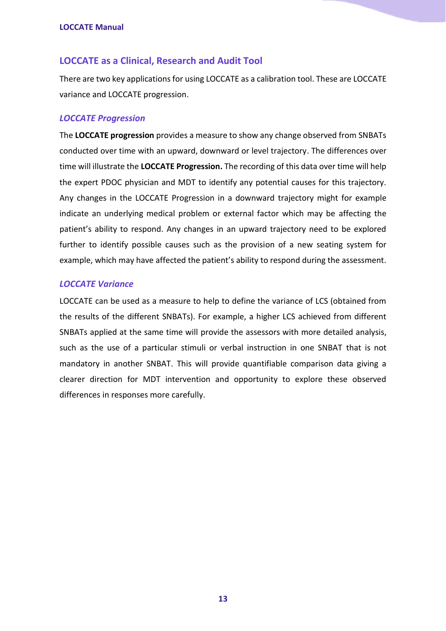#### <span id="page-12-0"></span>**LOCCATE as a Clinical, Research and Audit Tool**

There are two key applications for using LOCCATE as a calibration tool. These are LOCCATE variance and LOCCATE progression.

#### <span id="page-12-1"></span>*LOCCATE Progression*

The **LOCCATE progression** provides a measure to show any change observed from SNBATs conducted over time with an upward, downward or level trajectory. The differences over time will illustrate the **LOCCATE Progression.** The recording of this data over time will help the expert PDOC physician and MDT to identify any potential causes for this trajectory. Any changes in the LOCCATE Progression in a downward trajectory might for example indicate an underlying medical problem or external factor which may be affecting the patient's ability to respond. Any changes in an upward trajectory need to be explored further to identify possible causes such as the provision of a new seating system for example, which may have affected the patient's ability to respond during the assessment.

#### <span id="page-12-2"></span>*LOCCATE Variance*

LOCCATE can be used as a measure to help to define the variance of LCS (obtained from the results of the different SNBATs). For example, a higher LCS achieved from different SNBATs applied at the same time will provide the assessors with more detailed analysis, such as the use of a particular stimuli or verbal instruction in one SNBAT that is not mandatory in another SNBAT. This will provide quantifiable comparison data giving a clearer direction for MDT intervention and opportunity to explore these observed differences in responses more carefully.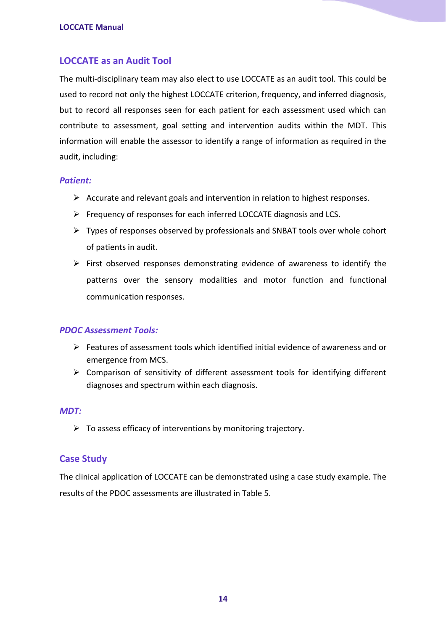#### <span id="page-13-0"></span>**LOCCATE as an Audit Tool**

The multi-disciplinary team may also elect to use LOCCATE as an audit tool. This could be used to record not only the highest LOCCATE criterion, frequency, and inferred diagnosis, but to record all responses seen for each patient for each assessment used which can contribute to assessment, goal setting and intervention audits within the MDT. This information will enable the assessor to identify a range of information as required in the audit, including:

#### <span id="page-13-1"></span>*Patient:*

- $\triangleright$  Accurate and relevant goals and intervention in relation to highest responses.
- ➢ Frequency of responses for each inferred LOCCATE diagnosis and LCS.
- ➢ Types of responses observed by professionals and SNBAT tools over whole cohort of patients in audit.
- ➢ First observed responses demonstrating evidence of awareness to identify the patterns over the sensory modalities and motor function and functional communication responses.

#### <span id="page-13-2"></span>*PDOC Assessment Tools:*

- ➢ Features of assessment tools which identified initial evidence of awareness and or emergence from MCS.
- ➢ Comparison of sensitivity of different assessment tools for identifying different diagnoses and spectrum within each diagnosis.

#### <span id="page-13-3"></span>*MDT:*

 $\triangleright$  To assess efficacy of interventions by monitoring trajectory.

#### <span id="page-13-4"></span>**Case Study**

The clinical application of LOCCATE can be demonstrated using a case study example. The results of the PDOC assessments are illustrated in Table 5.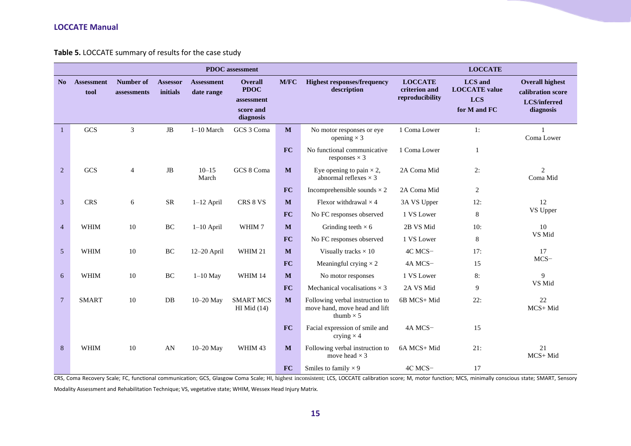**Table 5.** LOCCATE summary of results for the case study

|                |                           |                          |                             |                                 | <b>PDOC</b> assessment                                                |             |                                                                                      |                                                    | <b>LOCCATE</b>                                                       |                                                                                 |
|----------------|---------------------------|--------------------------|-----------------------------|---------------------------------|-----------------------------------------------------------------------|-------------|--------------------------------------------------------------------------------------|----------------------------------------------------|----------------------------------------------------------------------|---------------------------------------------------------------------------------|
| No             | <b>Assessment</b><br>tool | Number of<br>assessments | <b>Assessor</b><br>initials | <b>Assessment</b><br>date range | <b>Overall</b><br><b>PDOC</b><br>assessment<br>score and<br>diagnosis | <b>M/FC</b> | <b>Highest responses/frequency</b><br>description                                    | <b>LOCCATE</b><br>criterion and<br>reproducibility | <b>LCS</b> and<br><b>LOCCATE</b> value<br><b>LCS</b><br>for M and FC | <b>Overall highest</b><br>calibration score<br><b>LCS/inferred</b><br>diagnosis |
| $\mathbf{1}$   | GCS                       | $\mathfrak{Z}$           | JB                          | $1-10$ March                    | GCS 3 Coma                                                            | M           | No motor responses or eye<br>opening $\times$ 3                                      | 1 Coma Lower                                       | 1:                                                                   | Coma Lower                                                                      |
|                |                           |                          |                             |                                 |                                                                       | <b>FC</b>   | No functional communicative<br>responses $\times$ 3                                  | 1 Coma Lower                                       | -1                                                                   |                                                                                 |
| 2              | GCS                       | $\overline{4}$           | JB                          | $10 - 15$<br>March              | GCS 8 Coma                                                            | M           | Eye opening to pain $\times$ 2,<br>abnormal reflexes $\times$ 3                      | 2A Coma Mid                                        | 2:                                                                   | $\overline{c}$<br>Coma Mid                                                      |
|                |                           |                          |                             |                                 |                                                                       | <b>FC</b>   | Incomprehensible sounds $\times$ 2                                                   | 2A Coma Mid                                        | 2                                                                    |                                                                                 |
| $\overline{3}$ | <b>CRS</b>                | 6                        | ${\rm SR}$                  | $1-12$ April                    | CRS 8 VS                                                              | M           | Flexor withdrawal $\times$ 4                                                         | 3A VS Upper                                        | 12:                                                                  | 12                                                                              |
|                |                           |                          |                             |                                 |                                                                       | <b>FC</b>   | No FC responses observed                                                             | 1 VS Lower                                         | 8                                                                    | VS Upper                                                                        |
| $\overline{4}$ | <b>WHIM</b>               | 10                       | BC                          | $1-10$ April                    | WHIM 7                                                                | M           | Grinding teeth $\times$ 6                                                            | 2B VS Mid                                          | 10:                                                                  | 10                                                                              |
|                |                           |                          |                             |                                 |                                                                       | <b>FC</b>   | No FC responses observed                                                             | 1 VS Lower                                         | 8                                                                    | VS Mid                                                                          |
| 5              | <b>WHIM</b>               | 10                       | BC                          | $12-20$ April                   | WHIM 21                                                               | M           | Visually tracks $\times$ 10                                                          | 4C MCS-                                            | 17:                                                                  | 17                                                                              |
|                |                           |                          |                             |                                 |                                                                       | <b>FC</b>   | Meaningful crying $\times$ 2                                                         | 4A MCS-                                            | 15                                                                   | $MCS-$                                                                          |
| 6              | <b>WHIM</b>               | 10                       | BC                          | $1-10$ May                      | WHIM 14                                                               | $\mathbf M$ | No motor responses                                                                   | 1 VS Lower                                         | 8:                                                                   | 9                                                                               |
|                |                           |                          |                             |                                 |                                                                       | FC          | Mechanical vocalisations $\times$ 3                                                  | 2A VS Mid                                          | 9                                                                    | VS Mid                                                                          |
| $\overline{7}$ | <b>SMART</b>              | 10                       | DB                          | $10-20$ May                     | <b>SMART MCS</b><br>HI Mid $(14)$                                     | M           | Following verbal instruction to<br>move hand, move head and lift<br>thumb $\times$ 5 | 6B MCS+ Mid                                        | 22:                                                                  | 22<br>MCS+Mid                                                                   |
|                |                           |                          |                             |                                 |                                                                       | <b>FC</b>   | Facial expression of smile and<br>crying $\times$ 4                                  | 4A MCS-                                            | 15                                                                   |                                                                                 |
| 8              | <b>WHIM</b>               | 10                       | AN                          | 10-20 May                       | WHIM 43                                                               | M           | Following verbal instruction to<br>move head $\times$ 3                              | 6A MCS+ Mid                                        | 21:                                                                  | 21<br>MCS+Mid                                                                   |
|                |                           |                          |                             |                                 |                                                                       | <b>FC</b>   | Smiles to family $\times$ 9                                                          | 4C MCS-                                            | 17                                                                   |                                                                                 |

CRS, Coma Recovery Scale; FC, functional communication; GCS, Glasgow Coma Scale; HI, highest inconsistent; LCS, LOCCATE calibration score; M, motor function; MCS, minimally conscious state; SMART, Sensory Modality Assessment and Rehabilitation Technique; VS, vegetative state; WHIM, Wessex Head Injury Matrix.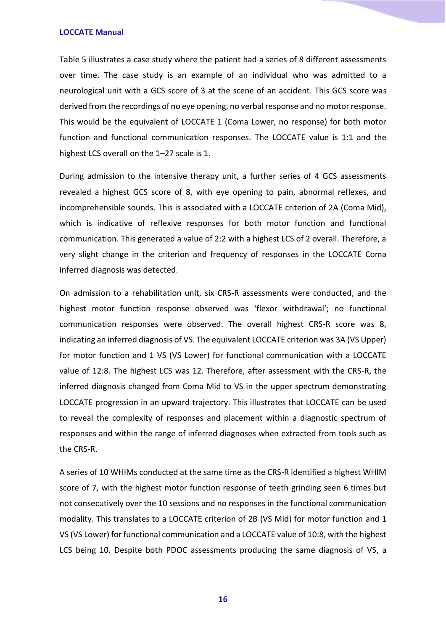Table 5 illustrates a case study where the patient had a series of 8 different assessments over time. The case study is an example of an individual who was admitted to a neurological unit with a GCS score of 3 at the scene of an accident. This GCS score was derived from the recordings of no eye opening, no verbal response and no motor response. This would be the equivalent of LOCCATE 1 (Coma Lower, no response) for both motor function and functional communication responses. The LOCCATE value is 1:1 and the highest LCS overall on the 1-27 scale is 1.

During admission to the intensive therapy unit, a further series of 4 GCS assessments revealed a highest GCS score of 8, with eye opening to pain, abnormal reflexes, and incomprehensible sounds. This is associated with a LOCCATE criterion of 2A (Coma Mid), which is indicative of reflexive responses for both motor function and functional communication. This generated a value of 2:2 with a highest LCS of 2 overall. Therefore, a very slight change in the criterion and frequency of responses in the LOCCATE Coma inferred diagnosis was detected.

On admission to a rehabilitation unit, six CRS-R assessments were conducted, and the highest motor function response observed was 'flexor withdrawal'; no functional communication responses were observed. The overall highest CRS-R score was 8, indicating an inferred diagnosis of VS. The equivalent LOCCATE criterion was 3A (VS Upper) for motor function and 1 VS (VS Lower) for functional communication with a LOCCATE value of 12:8. The highest LCS was 12. Therefore, after assessment with the CRS-R, the inferred diagnosis changed from Coma Mid to VS in the upper spectrum demonstrating LOCCATE progression in an upward trajectory. This illustrates that LOCCATE can be used to reveal the complexity of responses and placement within a diagnostic spectrum of responses and within the range of inferred diagnoses when extracted from tools such as the CRS-R.

A series of 10 WHIMs conducted at the same time as the CRS-R identified a highest WHIM score of 7, with the highest motor function response of teeth grinding seen 6 times but not consecutively over the 10 sessions and no responses in the functional communication modality. This translates to a LOCCATE criterion of 2B (VS Mid) for motor function and 1 VS (VS Lower) for functional communication and a LOCCATE value of 10:8, with the highest LCS being 10. Despite both PDOC assessments producing the same diagnosis of VS, a

**16**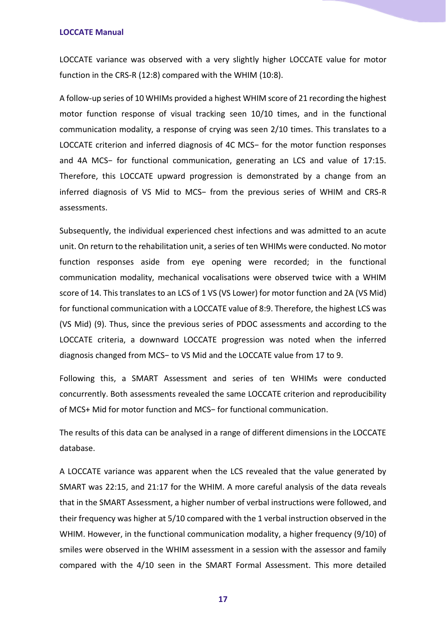LOCCATE variance was observed with a very slightly higher LOCCATE value for motor function in the CRS-R (12:8) compared with the WHIM (10:8).

A follow-up series of 10 WHIMs provided a highest WHIM score of 21 recording the highest motor function response of visual tracking seen 10/10 times, and in the functional communication modality, a response of crying was seen 2/10 times. This translates to a LOCCATE criterion and inferred diagnosis of 4C MCS− for the motor function responses and 4A MCS− for functional communication, generating an LCS and value of 17:15. Therefore, this LOCCATE upward progression is demonstrated by a change from an inferred diagnosis of VS Mid to MCS− from the previous series of WHIM and CRS-R assessments.

Subsequently, the individual experienced chest infections and was admitted to an acute unit. On return to the rehabilitation unit, a series of ten WHIMs were conducted. No motor function responses aside from eye opening were recorded; in the functional communication modality, mechanical vocalisations were observed twice with a WHIM score of 14. This translates to an LCS of 1 VS (VS Lower) for motor function and 2A (VS Mid) for functional communication with a LOCCATE value of 8:9. Therefore, the highest LCS was (VS Mid) (9). Thus, since the previous series of PDOC assessments and according to the LOCCATE criteria, a downward LOCCATE progression was noted when the inferred diagnosis changed from MCS− to VS Mid and the LOCCATE value from 17 to 9.

Following this, a SMART Assessment and series of ten WHIMs were conducted concurrently. Both assessments revealed the same LOCCATE criterion and reproducibility of MCS+ Mid for motor function and MCS− for functional communication.

The results of this data can be analysed in a range of different dimensions in the LOCCATE database.

A LOCCATE variance was apparent when the LCS revealed that the value generated by SMART was 22:15, and 21:17 for the WHIM. A more careful analysis of the data reveals that in the SMART Assessment, a higher number of verbal instructions were followed, and their frequency was higher at 5/10 compared with the 1 verbal instruction observed in the WHIM. However, in the functional communication modality, a higher frequency (9/10) of smiles were observed in the WHIM assessment in a session with the assessor and family compared with the 4/10 seen in the SMART Formal Assessment. This more detailed

**17**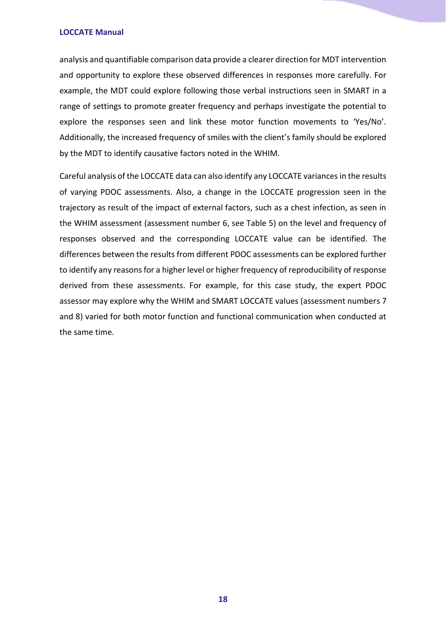analysis and quantifiable comparison data provide a clearer direction for MDT intervention and opportunity to explore these observed differences in responses more carefully. For example, the MDT could explore following those verbal instructions seen in SMART in a range of settings to promote greater frequency and perhaps investigate the potential to explore the responses seen and link these motor function movements to 'Yes/No'. Additionally, the increased frequency of smiles with the client's family should be explored by the MDT to identify causative factors noted in the WHIM.

Careful analysis of the LOCCATE data can also identify any LOCCATE variances in the results of varying PDOC assessments. Also, a change in the LOCCATE progression seen in the trajectory as result of the impact of external factors, such as a chest infection, as seen in the WHIM assessment (assessment number 6, see Table 5) on the level and frequency of responses observed and the corresponding LOCCATE value can be identified. The differences between the results from different PDOC assessments can be explored further to identify any reasons for a higher level or higher frequency of reproducibility of response derived from these assessments. For example, for this case study, the expert PDOC assessor may explore why the WHIM and SMART LOCCATE values (assessment numbers 7 and 8) varied for both motor function and functional communication when conducted at the same time.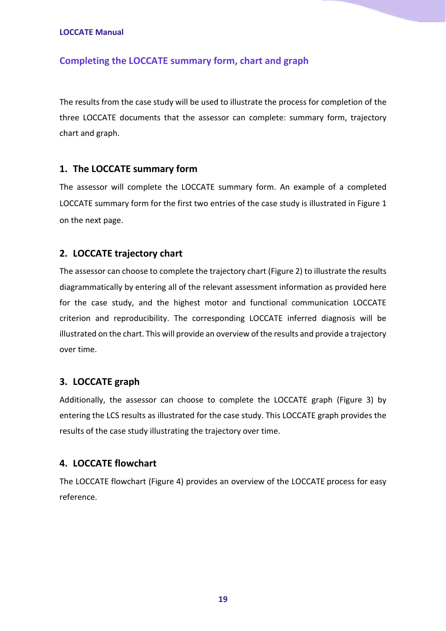#### <span id="page-18-0"></span>**Completing the LOCCATE summary form, chart and graph**

The results from the case study will be used to illustrate the process for completion of the three LOCCATE documents that the assessor can complete: summary form, trajectory chart and graph.

#### <span id="page-18-1"></span>**1. The LOCCATE summary form**

The assessor will complete the LOCCATE summary form. An example of a completed LOCCATE summary form for the first two entries of the case study is illustrated in Figure 1 on the next page.

#### <span id="page-18-2"></span>**2. LOCCATE trajectory chart**

The assessor can choose to complete the trajectory chart (Figure 2) to illustrate the results diagrammatically by entering all of the relevant assessment information as provided here for the case study, and the highest motor and functional communication LOCCATE criterion and reproducibility. The corresponding LOCCATE inferred diagnosis will be illustrated on the chart. This will provide an overview of the results and provide a trajectory over time.

#### <span id="page-18-3"></span>**3. LOCCATE graph**

Additionally, the assessor can choose to complete the LOCCATE graph (Figure 3) by entering the LCS results as illustrated for the case study. This LOCCATE graph provides the results of the case study illustrating the trajectory over time.

#### <span id="page-18-4"></span>**4. LOCCATE flowchart**

The LOCCATE flowchart (Figure 4) provides an overview of the LOCCATE process for easy reference.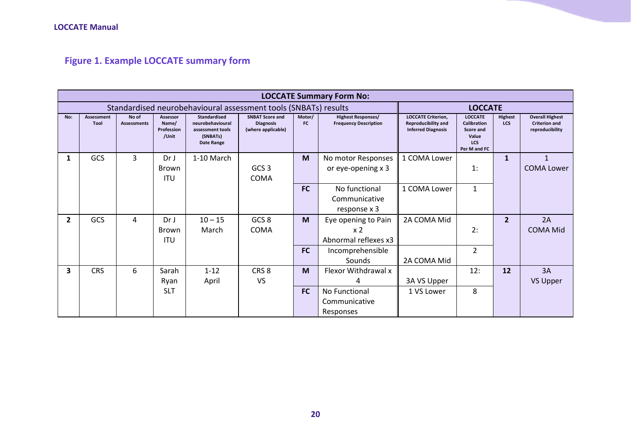**Figure 1. Example LOCCATE summary form**

<span id="page-19-0"></span>

|                | <b>LOCCATE Summary Form No:</b>                                                   |                             |                                               |                                                                                       |                                                                  |                     |                                                                                   |                                                                                      |                                                                                   |                              |                                                                   |  |  |  |  |  |
|----------------|-----------------------------------------------------------------------------------|-----------------------------|-----------------------------------------------|---------------------------------------------------------------------------------------|------------------------------------------------------------------|---------------------|-----------------------------------------------------------------------------------|--------------------------------------------------------------------------------------|-----------------------------------------------------------------------------------|------------------------------|-------------------------------------------------------------------|--|--|--|--|--|
|                | Standardised neurobehavioural assessment tools (SNBATs) results<br><b>LOCCATE</b> |                             |                                               |                                                                                       |                                                                  |                     |                                                                                   |                                                                                      |                                                                                   |                              |                                                                   |  |  |  |  |  |
| No:            | Assessment<br>Tool                                                                | No of<br><b>Assessments</b> | Assessor<br>Name/<br>Profession<br>/Unit      | <b>Standardised</b><br>neurobehavioural<br>assessment tools<br>(SNBATs)<br>Date Range | <b>SNBAT Score and</b><br><b>Diagnosis</b><br>(where applicable) | Motor/<br><b>FC</b> | <b>Highest Responses/</b><br><b>Frequency Description</b>                         | <b>LOCCATE Criterion,</b><br><b>Reproducibility and</b><br><b>Inferred Diagnosis</b> | <b>LOCCATE</b><br>Calibration<br>Score and<br>Value<br><b>LCS</b><br>Per M and FC | <b>Highest</b><br><b>LCS</b> | <b>Overall Highest</b><br><b>Criterion and</b><br>reproducibility |  |  |  |  |  |
| 1              | GCS                                                                               | 3                           | Dr <sub>J</sub><br><b>Brown</b><br><b>ITU</b> | 1-10 March                                                                            | GCS <sub>3</sub><br><b>COMA</b>                                  | M                   | No motor Responses<br>or eye-opening x 3                                          | 1 COMA Lower                                                                         | 1:                                                                                | 1                            | $\mathbf{1}$<br><b>COMA Lower</b>                                 |  |  |  |  |  |
|                |                                                                                   |                             |                                               |                                                                                       |                                                                  | <b>FC</b>           | No functional<br>Communicative<br>response x 3                                    | 1 COMA Lower                                                                         | $\mathbf{1}$                                                                      |                              |                                                                   |  |  |  |  |  |
| $\overline{2}$ | GCS                                                                               | 4                           | Dr <sub>J</sub><br>Brown<br><b>ITU</b>        | $10 - 15$<br>March                                                                    | GCS <sub>8</sub><br><b>COMA</b>                                  | M<br><b>FC</b>      | Eye opening to Pain<br>x <sub>2</sub><br>Abnormal reflexes x3<br>Incomprehensible | 2A COMA Mid                                                                          | 2:<br>2                                                                           | $\overline{2}$               | 2A<br><b>COMA Mid</b>                                             |  |  |  |  |  |
|                |                                                                                   |                             |                                               |                                                                                       |                                                                  |                     | Sounds                                                                            | 2A COMA Mid                                                                          |                                                                                   |                              |                                                                   |  |  |  |  |  |
| 3              | <b>CRS</b>                                                                        | 6                           | Sarah<br>Ryan                                 | $1 - 12$<br>April                                                                     | CRS <sub>8</sub><br><b>VS</b>                                    | M                   | Flexor Withdrawal x<br>4                                                          | 3A VS Upper                                                                          | 12:                                                                               | 12                           | 3A<br><b>VS Upper</b>                                             |  |  |  |  |  |
|                |                                                                                   |                             | <b>SLT</b>                                    |                                                                                       |                                                                  | <b>FC</b>           | No Functional<br>Communicative<br>Responses                                       | 1 VS Lower                                                                           | 8                                                                                 |                              |                                                                   |  |  |  |  |  |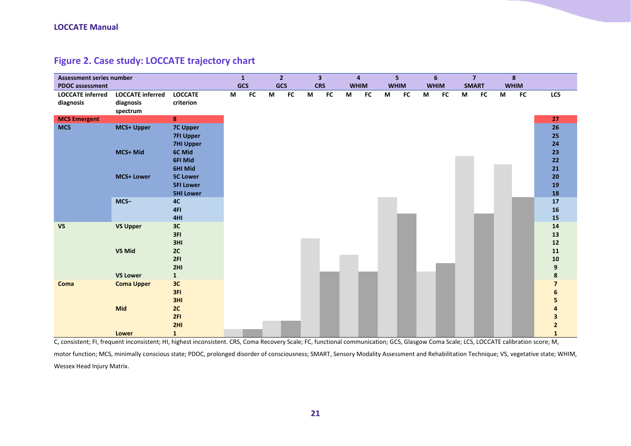| <b>Assessment series number</b>      |                                                  |                                                                              |   | $\mathbf{1}$ |   | $\overline{2}$ |   | $\overline{\mathbf{3}}$ | $\overline{4}$ |            |             | 5 <sup>1</sup> |   | $6\phantom{1}$ |   | $\overline{7}$ |   | 8           |                                   |
|--------------------------------------|--------------------------------------------------|------------------------------------------------------------------------------|---|--------------|---|----------------|---|-------------------------|----------------|------------|-------------|----------------|---|----------------|---|----------------|---|-------------|-----------------------------------|
| <b>PDOC</b> assessment               |                                                  |                                                                              |   | GCS          |   | GCS            |   | <b>CRS</b>              | <b>WHIM</b>    |            | <b>WHIM</b> |                |   | <b>WHIM</b>    |   | <b>SMART</b>   |   | <b>WHIM</b> |                                   |
| <b>LOCCATE inferred</b><br>diagnosis | <b>LOCCATE inferred</b><br>diagnosis<br>spectrum | <b>LOCCATE</b><br>criterion                                                  | M | ${\sf FC}$   | M | ${\sf FC}$     | M | <b>FC</b>               | M              | ${\sf FC}$ | M           | ${\sf FC}$     | M | <b>FC</b>      | M | ${\sf FC}$     | M | ${\sf FC}$  | LCS                               |
| <b>MCS Emergent</b>                  |                                                  | 8                                                                            |   |              |   |                |   |                         |                |            |             |                |   |                |   |                |   |             | 27                                |
| <b>MCS</b>                           | <b>MCS+ Upper</b><br>MCS+ Mid                    | <b>7C Upper</b><br><b>7FI Upper</b><br><b>7HI Upper</b><br>6C Mid<br>6FI Mid |   |              |   |                |   |                         |                |            |             |                |   |                |   |                |   |             | 26<br>25<br>24<br>23<br>22        |
|                                      | <b>MCS+ Lower</b>                                | 6HI Mid<br><b>5C Lower</b><br><b>5FI Lower</b>                               |   |              |   |                |   |                         |                |            |             |                |   |                |   |                |   |             | 21<br>20<br>19                    |
|                                      |                                                  | <b>5HI Lower</b>                                                             |   |              |   |                |   |                         |                |            |             |                |   |                |   |                |   |             | 18                                |
|                                      | MCS-                                             | 4C<br>4FI<br>4HI                                                             |   |              |   |                |   |                         |                |            |             |                |   |                |   |                |   |             | 17<br>16<br>15                    |
| <b>VS</b>                            | <b>VS Upper</b>                                  | 3C<br>3FI<br>3HI                                                             |   |              |   |                |   |                         |                |            |             |                |   |                |   |                |   |             | 14<br>13<br>$12$                  |
|                                      | <b>VS Mid</b>                                    | 2C<br>2FI<br>2HI                                                             |   |              |   |                |   |                         |                |            |             |                |   |                |   |                |   |             | 11<br>${\bf 10}$<br>9             |
|                                      | <b>VS Lower</b>                                  | $\mathbf{1}$                                                                 |   |              |   |                |   |                         |                |            |             |                |   |                |   |                |   |             | 8                                 |
| Coma                                 | <b>Coma Upper</b>                                | 3C<br>3FI<br>3HI                                                             |   |              |   |                |   |                         |                |            |             |                |   |                |   |                |   |             | $\overline{\mathbf{z}}$<br>6<br>5 |
|                                      | <b>Mid</b>                                       | 2C<br>2FI<br>2H1                                                             |   |              |   |                |   |                         |                |            |             |                |   |                |   |                |   |             | 4<br>3<br>$\mathbf{2}$            |
|                                      | Lower                                            | $\mathbf{1}$                                                                 |   |              |   |                |   |                         |                |            |             |                |   |                |   |                |   |             | $\mathbf{1}$                      |

#### **Figure 2. Case study: LOCCATE trajectory chart**

<span id="page-20-0"></span>C, consistent; FI, frequent inconsistent; HI, highest inconsistent. CRS, Coma Recovery Scale; FC, functional communication; GCS, Glasgow Coma Scale; LCS, LOCCATE calibration score; M, motor function; MCS, minimally conscious state; PDOC, prolonged disorder of consciousness; SMART, Sensory Modality Assessment and Rehabilitation Technique; VS, vegetative state; WHIM, Wessex Head Injury Matrix.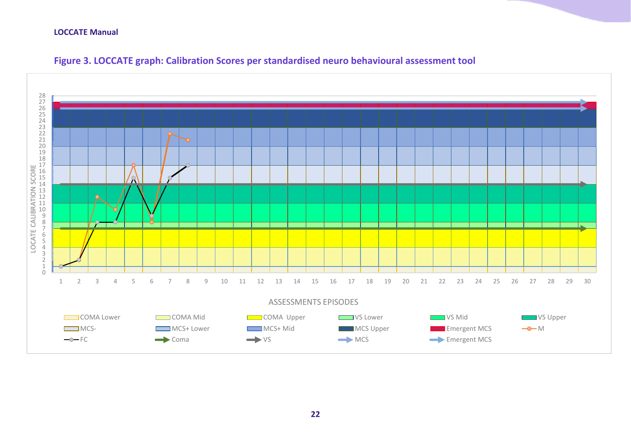<span id="page-21-0"></span>

#### **Figure 3. LOCCATE graph: Calibration Scores per standardised neuro behavioural assessment tool**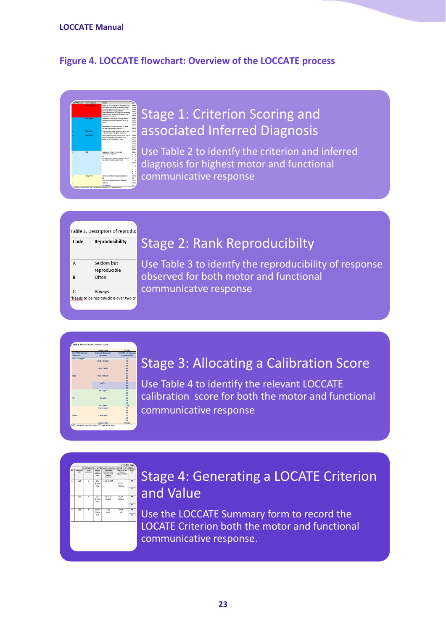#### <span id="page-22-0"></span>**Figure 4. LOCCATE flowchart: Overview of the LOCCATE process**

## Stage 1: Criterion Scoring and associated Inferred Diagnosis

Use Table 2 to identfy the criterion and inferred diagnosis for highest motor and functional communicative response

|      | Table 3. Descriptors of reproduc |
|------|----------------------------------|
| Code | Reproducibility                  |

| А | Seldom but                                     |
|---|------------------------------------------------|
|   | reproducible                                   |
| R | Often                                          |
|   |                                                |
| C | Always                                         |
|   | <sup>a</sup> Needs to be reproducible over two |
|   |                                                |

## Stage 2: Rank Reproducibilty

Use Table 3 to identfy the reproducibility of response observed for both motor and functional communicatve response

|                         | Coma Lower                                                          | 1 Coma                     |
|-------------------------|---------------------------------------------------------------------|----------------------------|
| <b>LOCCATE</b> inferred | <b>Inferred diagnostic</b>                                          | <b>LOCCATE</b> criterion a |
| diamosis                | spectrum                                                            | reproducibility            |
| <b>MCS Emergent</b>     |                                                                     | $\mathbf{R}$               |
|                         | MCS + Upper                                                         | 20 <sup>o</sup>            |
|                         |                                                                     | 78                         |
|                         |                                                                     | 7 <sub>A</sub>             |
|                         | MCS + Mid                                                           | 6C                         |
|                         |                                                                     | 68                         |
|                         |                                                                     | 6А<br>x                    |
| MCS                     | MCS + Lower                                                         | 58                         |
|                         |                                                                     | 54                         |
|                         | $MCS-$                                                              | 4C                         |
|                         |                                                                     | en.                        |
|                         |                                                                     | 4A                         |
|                         | <b>VS Upper</b>                                                     | x                          |
|                         |                                                                     | 38                         |
|                         |                                                                     | zΔ                         |
| <b>VS</b>               | <b>VS Mid</b>                                                       | $\overline{2}$             |
|                         |                                                                     | 2R                         |
|                         |                                                                     | 2A                         |
|                         | <b>VS Lower</b>                                                     | 1 <sub>VS</sub>            |
|                         | Coma Upper                                                          | 3C                         |
|                         |                                                                     | $\mathbf{m}$               |
|                         |                                                                     | <b>3A</b>                  |
| Coma                    | Coma Mid                                                            | 25 <sup>o</sup>            |
|                         |                                                                     | 28                         |
|                         |                                                                     | 2A                         |
|                         | Coma Lower<br>MCS, minimally conscious state: VS, vegetative state. | 1 Coma                     |

## Stage 3: Allocating a Calibration Score

Use Table 4 to identify the relevant LOCCATE calibration score for both the motor and functional communicative response

| Material<br>╦                 | Standardised neurobehavioural assessment tools (SNBATs)<br>SNBAT Seare and<br><b>Chapter</b> Ct.<br><b>Intern realizable!</b> | <b>Standardised</b><br>neurate/tayloural<br><b>ASSAULT AND TACK</b><br>100604740<br><b>Oute Renge</b> | <b>America</b><br>Name <sup>2</sup><br>Profession<br><b>Just</b> | <b>No. of</b><br><b>Bearingsta</b> | Assessment<br>Tauf | $n -$ |
|-------------------------------|-------------------------------------------------------------------------------------------------------------------------------|-------------------------------------------------------------------------------------------------------|------------------------------------------------------------------|------------------------------------|--------------------|-------|
| $\overline{M}$<br>$_{\rm rc}$ | GCS <sub>3</sub><br>COMA                                                                                                      | 1-10 March                                                                                            | Dr J<br>Brown<br>mu                                              | 3                                  | GCS                | ī     |
| M<br>$F$ C                    | GCS 8<br>COMA                                                                                                                 | $10 - 15$<br>March                                                                                    | $D = I$<br>Brown<br>mu                                           | ä                                  | GCS                | 7     |
| $\overline{M}$<br>EC          | CRS &<br>VS.                                                                                                                  | $1 - 12$<br>April                                                                                     | Sarah<br>Ryan<br><b>SLT</b>                                      | e.                                 | CRS                | 3     |

## Stage 4: Generating a LOCATE Criterion and Value

Use the LOCCATE Summary form to record the LOCATE Criterion both the motor and functional communicative response.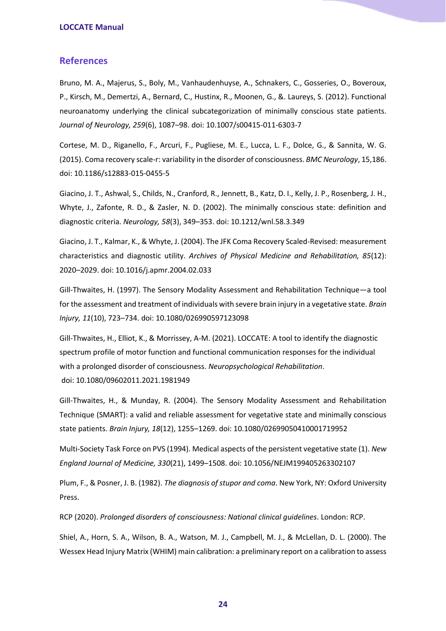#### <span id="page-23-0"></span>**References**

Bruno, M. A., Majerus, S., Boly, M., Vanhaudenhuyse, A., Schnakers, C., Gosseries, O., Boveroux, P., Kirsch, M., Demertzi, A., Bernard, C., Hustinx, R., Moonen, G., &. Laureys, S. (2012). Functional neuroanatomy underlying the clinical subcategorization of minimally conscious state patients. *Journal of Neurology, 259*(6), 1087–98. doi: 10.1007/s00415-011-6303-7

Cortese, M. D., Riganello, F., Arcuri, F., Pugliese, M. E., Lucca, L. F., Dolce, G., & Sannita, W. G. (2015). Coma recovery scale-r: variability in the disorder of consciousness. *BMC Neurology*, 15,186. doi: 10.1186/s12883-015-0455-5

Giacino, J. T., Ashwal, S., Childs, N., Cranford, R., Jennett, B., Katz, D. I., Kelly, J. P., Rosenberg, J. H., Whyte, J., Zafonte, R. D., & Zasler, N. D. (2002). The minimally conscious state: definition and diagnostic criteria. *Neurology, 58*(3), 349–353. doi: 10.1212/wnl.58.3.349

Giacino, J. T., Kalmar, K., & Whyte, J. (2004). The JFK Coma Recovery Scaled-Revised: measurement characteristics and diagnostic utility. *Archives of Physical Medicine and Rehabilitation, 85*(12): 2020–2029. doi: 10.1016/j.apmr.2004.02.033

Gill-Thwaites, H. (1997). The Sensory Modality Assessment and Rehabilitation Technique—a tool for the assessment and treatment of individuals with severe brain injury in a vegetative state. *Brain Injury, 11*(10), 723–734. doi: 10.1080/026990597123098

Gill-Thwaites, H., Elliot, K., & Morrissey, A-M. (2021). LOCCATE: A tool to identify the diagnostic spectrum profile of motor function and functional communication responses for the individual with a prolonged disorder of consciousness. *Neuropsychological Rehabilitation*. doi: 10.1080/09602011.2021.1981949

Gill-Thwaites, H., & Munday, R. (2004). The Sensory Modality Assessment and Rehabilitation Technique (SMART): a valid and reliable assessment for vegetative state and minimally conscious state patients. *Brain Injury, 18*(12), 1255–1269. doi: 10.1080/02699050410001719952

Multi-Society Task Force on PVS (1994). Medical aspects of the persistent vegetative state (1). *New England Journal of Medicine, 330*(21), 1499–1508. doi: 10.1056/NEJM199405263302107

Plum, F., & Posner, J. B. (1982). *The diagnosis of stupor and coma*. New York, NY: Oxford University Press.

RCP (2020). *Prolonged disorders of consciousness: National clinical guidelines*. London: RCP.

Shiel, A., Horn, S. A., Wilson, B. A., Watson, M. J., Campbell, M. J., & McLellan, D. L. (2000). The Wessex Head Injury Matrix (WHIM) main calibration: a preliminary report on a calibration to assess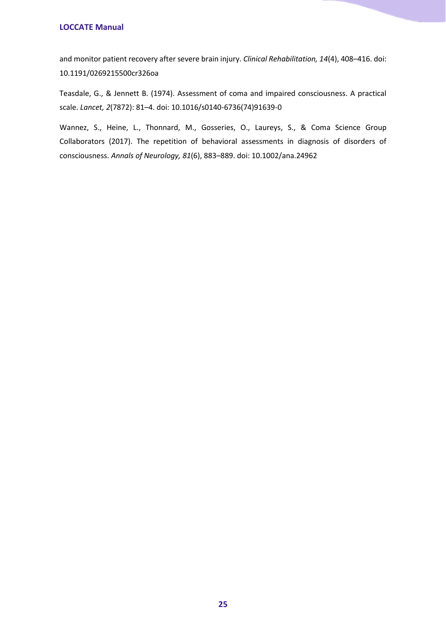and monitor patient recovery after severe brain injury. *Clinical Rehabilitation, 14*(4), 408–416. doi: 10.1191/0269215500cr326oa

Teasdale, G., & Jennett B. (1974). Assessment of coma and impaired consciousness. A practical scale. *Lancet, 2*(7872): 81–4. doi: 10.1016/s0140-6736(74)91639-0

Wannez, S., Heine, L., Thonnard, M., Gosseries, O., Laureys, S., & Coma Science Group Collaborators (2017). The repetition of behavioral assessments in diagnosis of disorders of consciousness. *Annals of Neurology, 81*(6), 883–889. doi: 10.1002/ana.24962